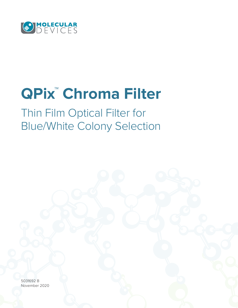

# **QPix™ Chroma Filter**

Thin Film Optical Filter for Blue/White Colony Selection

5031692 B November 2020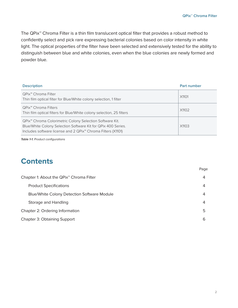The QPix™ Chroma Filter is a thin film translucent optical filter that provides a robust method to confidently select and pick rare expressing bacterial colonies based on color intensity in white light. The optical properties of the filter have been selected and extensively tested for the ability to distinguish between blue and white colonies, even when the blue colonies are newly formed and powder blue.

| <b>Description</b>                                                                                                                                                                                                | <b>Part number</b> |
|-------------------------------------------------------------------------------------------------------------------------------------------------------------------------------------------------------------------|--------------------|
| QPix™ Chroma Filter<br>Thin film optical filter for Blue/White colony selection, 1 filter                                                                                                                         | X1101              |
| QPix™ Chroma Filters<br>Thin film optical filters for Blue/White colony selection, 25 filters                                                                                                                     | X1102              |
| QPix <sup>™</sup> Chroma Colorimetric Colony Selection Software Kit.<br>Blue/White Colony Selection Software Kit for QPix 400 Series.<br>Includes software license and 2 QPix <sup>™</sup> Chroma Filters (X1101) | X1103              |

*Table 1-1. Product configurations*

# **Contents**

|                                                      | Page |
|------------------------------------------------------|------|
| Chapter 1: About the QPix <sup>™</sup> Chroma Filter | 4    |
| <b>Product Specifications</b>                        | 4    |
| <b>Blue/White Colony Detection Software Module</b>   | 4    |
| Storage and Handling                                 | 4    |
| Chapter 2: Ordering Information                      | 5    |
| <b>Chapter 3: Obtaining Support</b>                  | 6    |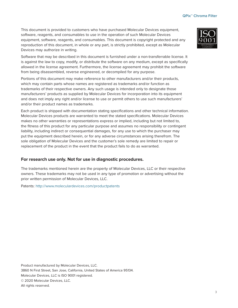This document is provided to customers who have purchased Molecular Devices equipment, software, reagents, and consumables to use in the operation of such Molecular Devices equipment, software, reagents, and consumables. This document is copyright protected and any reproduction of this document, in whole or any part, is strictly prohibited, except as Molecular Devices may authorize in writing.

Software that may be described in this document is furnished under a non-transferrable license. It is against the law to copy, modify, or distribute the software on any medium, except as specifically allowed in the license agreement. Furthermore, the license agreement may prohibit the software from being disassembled, reverse engineered, or decompiled for any purpose.

Portions of this document may make reference to other manufacturers and/or their products, which may contain parts whose names are registered as trademarks and/or function as trademarks of their respective owners. Any such usage is intended only to designate those manufacturers' products as supplied by Molecular Devices for incorporation into its equipment and does not imply any right and/or license to use or permit others to use such manufacturers' and/or their product names as trademarks.

Each product is shipped with documentation stating specifications and other technical information. Molecular Devices products are warranted to meet the stated specifications. Molecular Devices makes no other warranties or representations express or implied, including but not limited to, the fitness of this product for any particular purpose and assumes no responsibility or contingent liability, including indirect or consequential damages, for any use to which the purchaser may put the equipment described herein, or for any adverse circumstances arising therefrom. The sole obligation of Molecular Devices and the customer's sole remedy are limited to repair or replacement of the product in the event that the product fails to do as warranted.

#### **For research use only. Not for use in diagnostic procedures.**

The trademarks mentioned herein are the property of Molecular Devices, LLC or their respective owners. These trademarks may not be used in any type of promotion or advertising without the prior written permission of Molecular Devices, LLC.

Patents: <http://www.moleculardevices.com/productpatents>

Product manufactured by Molecular Devices, LLC. 3860 N First Street, San Jose, California, United States of America 95134. Molecular Devices, LLC is ISO 9001 registered. © 2020 Molecular Devices, LLC. All rights reserved.

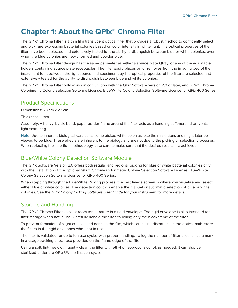# **Chapter 1: About the QPix™ Chroma Filter**

The QPix™ Chroma Filter is a thin film translucent optical filter that provides a robust method to confidently select and pick rare expressing bacterial colonies based on color intensity in white light. The optical properties of the filter have been selected and extensively tested for the ability to distinguish between blue or white colonies, even when the blue colonies are newly formed and powder blue.

The QPix™ Chroma Filter design has the same perimeter as either a source plate Qtray, or any of the adjustable holders containing source plate receptacles. The filter easily places on or removes from the imaging bed of the instrument to fit between the light source and specimen tray.The optical properties of the filter are selected and extensively tested for the ability to distinguish between blue and white colonies.

The QPix™ Chroma Filter only works in conjunction with the QPix Software version 2.0 or later, and QPix™ Chroma Colorimetric Colony Selection Software License: Blue/White Colony Selection Software License for QPix 400 Series.

#### Product Specifications

**Dimensions:** 23 cm x 23 cm

**Thickness:** 1 mm

**Assembly:** A heavy, black, bond, paper border frame around the filter acts as a handling stiffener and prevents light scattering.

**Note:** Due to inherent biological variations, some picked white colonies lose their insertions and might later be viewed to be blue. These effects are inherent to the biology and are not due to the picking or selection processes. When selecting the insertion methodology, take care to make sure that the desired results are achieved.

#### Blue/White Colony Detection Software Module

The QPix Software Version 2.0 offers both regular and regional picking for blue or white bacterial colonies only with the installation of the optional QPix<sup>™</sup> Chroma Colorimetric Colony Selection Software License: Blue/White Colony Selection Software License for QPix 400 Series.

When stepping through the Blue/White Picking process, the Test Image screen is where you visualize and select either blue or white colonies. The detection controls enable the manual or automatic selection of blue or white colonies. See the *QPix Colony Picking Software User Guide* for your instrument for more details.

### Storage and Handling

The QPix™ Chroma Filter ships at room temperature in a rigid envelope. The rigid envelope is also intended for filter storage when not in use. Carefully handle the filter, touching only the black frame of the filter.

To prevent formation of slight creases and dents in the film, which can cause distortions in the optical path, store the filters in the rigid envelopes when not in use.

The filter is validated for up to ten use cycles with proper handling. To log the number of filter uses, place a mark in a usage tracking check box provided on the frame edge of the filter.

Using a soft, lint-free cloth, gently clean the filter with ethyl or isopropyl alcohol, as needed. It can also be sterilized under the QPix UV sterilization cycle.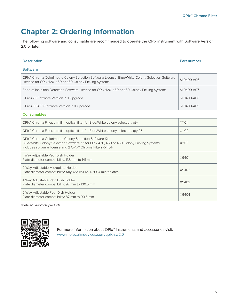# **Chapter 2: Ordering Information**

The following software and consumable are recommended to operate the QPix instrument with Software Version 2.0 or later.

| <b>Description</b>                                                                                                                                                                                                                             | Part number |
|------------------------------------------------------------------------------------------------------------------------------------------------------------------------------------------------------------------------------------------------|-------------|
| <b>Software</b>                                                                                                                                                                                                                                |             |
| QPix <sup>™</sup> Chroma Colorimetric Colony Selection Software License. Blue/White Colony Selection Software<br>License for QPix 420, 450 or 460 Colony Picking Systems                                                                       | SL9400-A06  |
| Zone of Inhibition Detection Software License for QPix 420, 450 or 460 Colony Picking Systems                                                                                                                                                  | SL9400-A07  |
| QPix 420 Software Version 2.0 Upgrade                                                                                                                                                                                                          | SL9400-A08  |
| QPix 450/460 Software Version 2.0 Upgrade                                                                                                                                                                                                      | SL9400-A09  |
| <b>Consumables</b>                                                                                                                                                                                                                             |             |
| QPix <sup>™</sup> Chroma Filter, thin film optical filter for Blue/White colony selection, qty 1                                                                                                                                               | X1101       |
| QPix <sup>™</sup> Chroma Filter, thin film optical filter for Blue/White colony selection, qty 25                                                                                                                                              | X1102       |
| QPix <sup>™</sup> Chroma Colorimetric Colony Selection Software Kit.<br>Blue/White Colony Selection Software Kit for QPix 420, 450 or 460 Colony Picking Systems.<br>Includes software license and 2 QPix <sup>™</sup> Chroma Filters (X1101). | X1103       |
| 1 Way Adjustable Petri Dish Holder<br>Plate diameter compatibility: 138 mm to 141 mm                                                                                                                                                           | X9401       |
| 2 Way Adjustable Microplate Holder<br>Plate diameter compatibility: Any ANSI/SLAS 1-2004 microplates                                                                                                                                           | X9402       |
| 4 Way Adjustable Petri Dish Holder<br>Plate diameter compatibility: 97 mm to 100.5 mm                                                                                                                                                          | X9403       |
| 5 Way Adjustable Petri Dish Holder<br>Plate diameter compatibility: 87 mm to 90.5 mm                                                                                                                                                           | X9404       |

*Table 2-1. Available products*



For more information about QPix™ instruments and accessories visit: [www.moleculardevices.com/qpix-sw2.0](http://www.moleculardevices.com/qpix-sw2.0)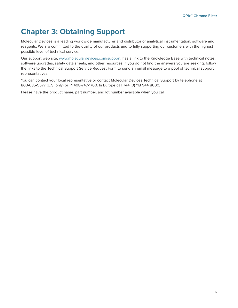# **Chapter 3: Obtaining Support**

Molecular Devices is a leading worldwide manufacturer and distributor of analytical instrumentation, software and reagents. We are committed to the quality of our products and to fully supporting our customers with the highest possible level of technical service.

Our support web site, [www.moleculardevices.com/support,](http://www.moleculardevices.com/support) has a link to the Knowledge Base with technical notes, software upgrades, safety data sheets, and other resources. If you do not find the answers you are seeking, follow the links to the Technical Support Service Request Form to send an email message to a pool of technical support representatives.

You can contact your local representative or contact Molecular Devices Technical Support by telephone at 800-635-5577 (U.S. only) or +1 408-747-1700. In Europe call +44 (0) 118 944 8000.

Please have the product name, part number, and lot number available when you call.